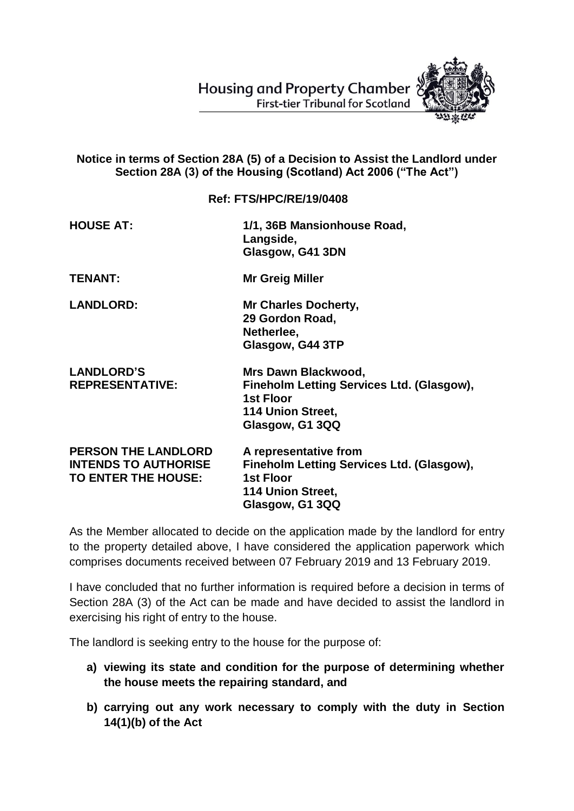**Housing and Property Chamber First-tier Tribunal for Scotland** 



## **Notice in terms of Section 28A (5) of a Decision to Assist the Landlord under Section 28A (3) of the Housing (Scotland) Act 2006 ("The Act")**

## **Ref: FTS/HPC/RE/19/0408**

| <b>HOUSE AT:</b>                                                                 | 1/1, 36B Mansionhouse Road,<br>Langside,<br>Glasgow, G41 3DN                                                                   |
|----------------------------------------------------------------------------------|--------------------------------------------------------------------------------------------------------------------------------|
| <b>TENANT:</b>                                                                   | <b>Mr Greig Miller</b>                                                                                                         |
| <b>LANDLORD:</b>                                                                 | <b>Mr Charles Docherty,</b><br>29 Gordon Road,<br>Netherlee,<br>Glasgow, G44 3TP                                               |
| <b>LANDLORD'S</b><br><b>REPRESENTATIVE:</b>                                      | Mrs Dawn Blackwood,<br>Fineholm Letting Services Ltd. (Glasgow),<br><b>1st Floor</b><br>114 Union Street,<br>Glasgow, G1 3QQ   |
| <b>PERSON THE LANDLORD</b><br><b>INTENDS TO AUTHORISE</b><br>TO ENTER THE HOUSE: | A representative from<br>Fineholm Letting Services Ltd. (Glasgow),<br><b>1st Floor</b><br>114 Union Street,<br>Glasgow, G1 3QQ |

As the Member allocated to decide on the application made by the landlord for entry to the property detailed above, I have considered the application paperwork which comprises documents received between 07 February 2019 and 13 February 2019.

I have concluded that no further information is required before a decision in terms of Section 28A (3) of the Act can be made and have decided to assist the landlord in exercising his right of entry to the house.

The landlord is seeking entry to the house for the purpose of:

- **a) viewing its state and condition for the purpose of determining whether the house meets the repairing standard, and**
- **b) carrying out any work necessary to comply with the duty in Section 14(1)(b) of the Act**